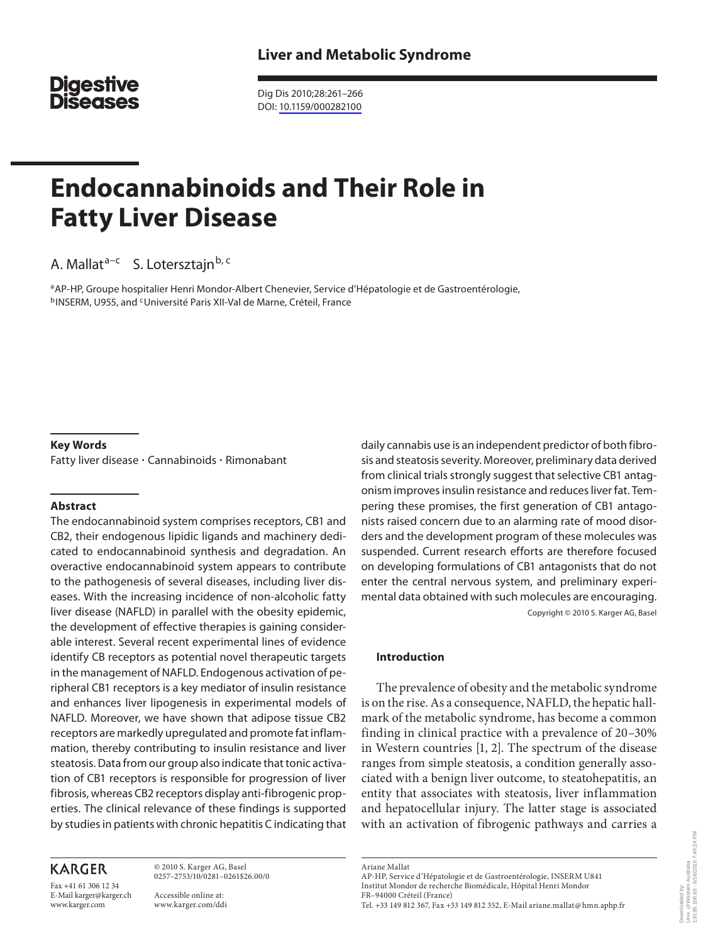# **Digestive Diseases**

 Dig Dis 2010;28:261–266 DOI: [10.1159/000282100](http://dx.doi.org/10.1159%2F000282100)

# **Endocannabinoids and Their Role in Fatty Liver Disease**

A. Mallat<sup>a-c</sup> S. Lotersztajn<sup>b, c</sup>

a AP-HP, Groupe hospitalier Henri Mondor-Albert Chenevier, Service d'Hépatologie et de Gastroentérologie, b INSERM, U955, and <sup>c</sup> Université Paris XII-Val de Marne, Créteil, France

#### **Key Words**

Fatty liver disease - Cannabinoids - Rimonabant

#### **Abstract**

 The endocannabinoid system comprises receptors, CB1 and CB2, their endogenous lipidic ligands and machinery dedicated to endocannabinoid synthesis and degradation. An overactive endocannabinoid system appears to contribute to the pathogenesis of several diseases, including liver diseases. With the increasing incidence of non-alcoholic fatty liver disease (NAFLD) in parallel with the obesity epidemic, the development of effective therapies is gaining considerable interest. Several recent experimental lines of evidence identify CB receptors as potential novel therapeutic targets in the management of NAFLD. Endogenous activation of peripheral CB1 receptors is a key mediator of insulin resistance and enhances liver lipogenesis in experimental models of NAFLD. Moreover, we have shown that adipose tissue CB2 receptors are markedly upregulated and promote fat inflammation, thereby contributing to insulin resistance and liver steatosis. Data from our group also indicate that tonic activation of CB1 receptors is responsible for progression of liver fibrosis, whereas CB2 receptors display anti-fibrogenic properties. The clinical relevance of these findings is supported by studies in patients with chronic hepatitis C indicating that

# **KARGER**

Fax +41 61 306 12 34 E-Mail karger@karger.ch www.karger.com

 © 2010 S. Karger AG, Basel 0257–2753/10/0281–0261\$26.00/0

 Accessible online at: www.karger.com/ddi daily cannabis use is an independent predictor of both fibrosis and steatosis severity. Moreover, preliminary data derived from clinical trials strongly suggest that selective CB1 antagonism improves insulin resistance and reduces liver fat. Tempering these promises, the first generation of CB1 antagonists raised concern due to an alarming rate of mood disorders and the development program of these molecules was suspended. Current research efforts are therefore focused on developing formulations of CB1 antagonists that do not enter the central nervous system, and preliminary experimental data obtained with such molecules are encouraging. Copyright © 2010 S. Karger AG, Basel

#### **Introduction**

 The prevalence of obesity and the metabolic syndrome is on the rise. As a consequence, NAFLD, the hepatic hallmark of the metabolic syndrome, has become a common finding in clinical practice with a prevalence of 20–30% in Western countries  $[1, 2]$ . The spectrum of the disease ranges from simple steatosis, a condition generally associated with a benign liver outcome, to steatohepatitis, an entity that associates with steatosis, liver inflammation and hepatocellular injury. The latter stage is associated with an activation of fibrogenic pathways and carries a

 Ariane Mallat AP-HP, Service d'Hépatologie et de Gastroentérologie , INSERM U841 Institut Mondor de recherche Biomédicale , Hôpital Henri Mondor FR–94000 Créteil (France) Tel. +33 149 812 367, Fax +33 149 812 352, E-Mail ariane.mallat @ hmn.aphp.fr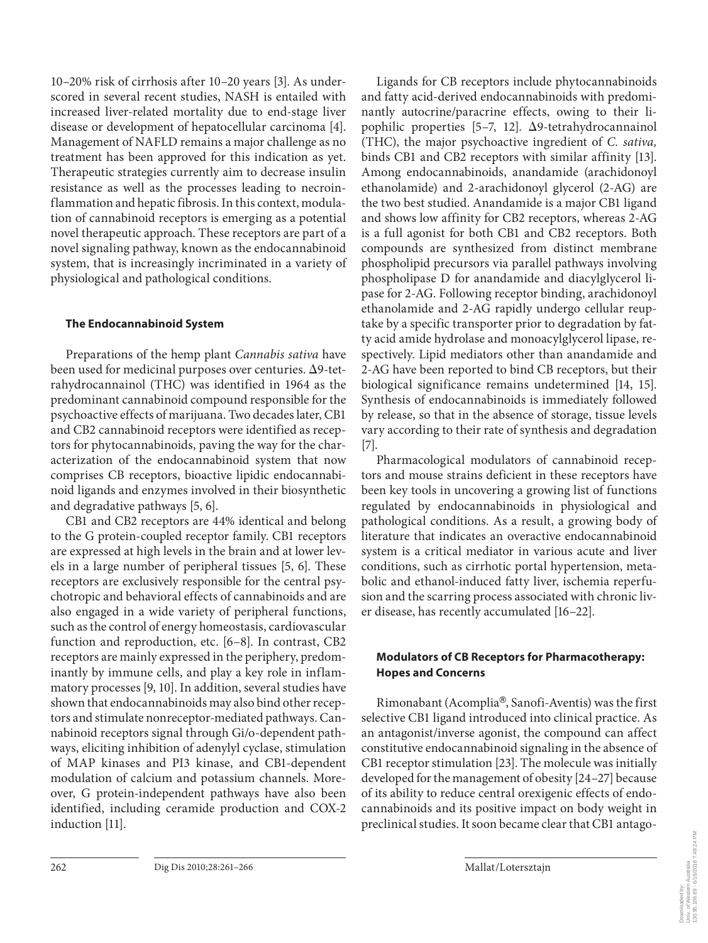10–20% risk of cirrhosis after 10–20 years [3] . As underscored in several recent studies, NASH is entailed with increased liver-related mortality due to end-stage liver disease or development of hepatocellular carcinoma [4]. Management of NAFLD remains a major challenge as no treatment has been approved for this indication as yet. Therapeutic strategies currently aim to decrease insulin resistance as well as the processes leading to necroinflammation and hepatic fibrosis. In this context, modulation of cannabinoid receptors is emerging as a potential novel therapeutic approach. These receptors are part of a novel signaling pathway, known as the endocannabinoid system, that is increasingly incriminated in a variety of physiological and pathological conditions.

#### **The Endocannabinoid System**

 Preparations of the hemp plant *Cannabis sativa* have been used for medicinal purposes over centuries.  $\Delta$ 9-tetrahydrocannainol (THC) was identified in 1964 as the predominant cannabinoid compound responsible for the psychoactive effects of marijuana. Two decades later, CB1 and CB2 cannabinoid receptors were identified as receptors for phytocannabinoids, paving the way for the characterization of the endocannabinoid system that now comprises CB receptors, bioactive lipidic endocannabinoid ligands and enzymes involved in their biosynthetic and degradative pathways [5, 6].

 CB1 and CB2 receptors are 44% identical and belong to the G protein-coupled receptor family. CB1 receptors are expressed at high levels in the brain and at lower levels in a large number of peripheral tissues [5, 6]. These receptors are exclusively responsible for the central psychotropic and behavioral effects of cannabinoids and are also engaged in a wide variety of peripheral functions, such as the control of energy homeostasis, cardiovascular function and reproduction, etc. [6-8]. In contrast, CB2 receptors are mainly expressed in the periphery, predominantly by immune cells, and play a key role in inflammatory processes [9, 10]. In addition, several studies have shown that endocannabinoids may also bind other receptors and stimulate nonreceptor-mediated pathways. Cannabinoid receptors signal through Gi/o-dependent pathways, eliciting inhibition of adenylyl cyclase, stimulation of MAP kinases and PI3 kinase, and CB1-dependent modulation of calcium and potassium channels. Moreover, G protein-independent pathways have also been identified, including ceramide production and COX-2 induction [11].

 Ligands for CB receptors include phytocannabinoids and fatty acid-derived endocannabinoids with predominantly autocrine/paracrine effects, owing to their lipophilic properties  $[5-7, 12]$ .  $\Delta$ 9-tetrahydrocannainol (THC), the major psychoactive ingredient of *C. sativa,* binds CB1 and CB2 receptors with similar affinity [13]. Among endocannabinoids, anandamide (arachidonoyl ethanolamide) and 2-arachidonoyl glycerol (2-AG) are the two best studied. Anandamide is a major CB1 ligand and shows low affinity for CB2 receptors, whereas 2-AG is a full agonist for both CB1 and CB2 receptors. Both compounds are synthesized from distinct membrane phospholipid precursors via parallel pathways involving phospholipase D for anandamide and diacylglycerol lipase for 2-AG. Following receptor binding, arachidonoyl ethanolamide and 2-AG rapidly undergo cellular reuptake by a specific transporter prior to degradation by fatty acid amide hydrolase and monoacylglycerol lipase, respectively. Lipid mediators other than anandamide and 2-AG have been reported to bind CB receptors, but their biological significance remains undetermined [14, 15]. Synthesis of endocannabinoids is immediately followed by release, so that in the absence of storage, tissue levels vary according to their rate of synthesis and degradation  $[7]$ .

 Pharmacological modulators of cannabinoid receptors and mouse strains deficient in these receptors have been key tools in uncovering a growing list of functions regulated by endocannabinoids in physiological and pathological conditions. As a result, a growing body of literature that indicates an overactive endocannabinoid system is a critical mediator in various acute and liver conditions, such as cirrhotic portal hypertension, metabolic and ethanol-induced fatty liver, ischemia reperfusion and the scarring process associated with chronic liver disease, has recently accumulated [16–22] .

#### **Modulators of CB Receptors for Pharmacotherapy: Hopes and Concerns**

Rimonabant (Acomplia®, Sanofi-Aventis) was the first selective CB1 ligand introduced into clinical practice. As an antagonist/inverse agonist, the compound can affect constitutive endocannabinoid signaling in the absence of CB1 receptor stimulation [23] . The molecule was initially developed for the management of obesity [24–27] because of its ability to reduce central orexigenic effects of endocannabinoids and its positive impact on body weight in preclinical studies. It soon became clear that CB1 antago-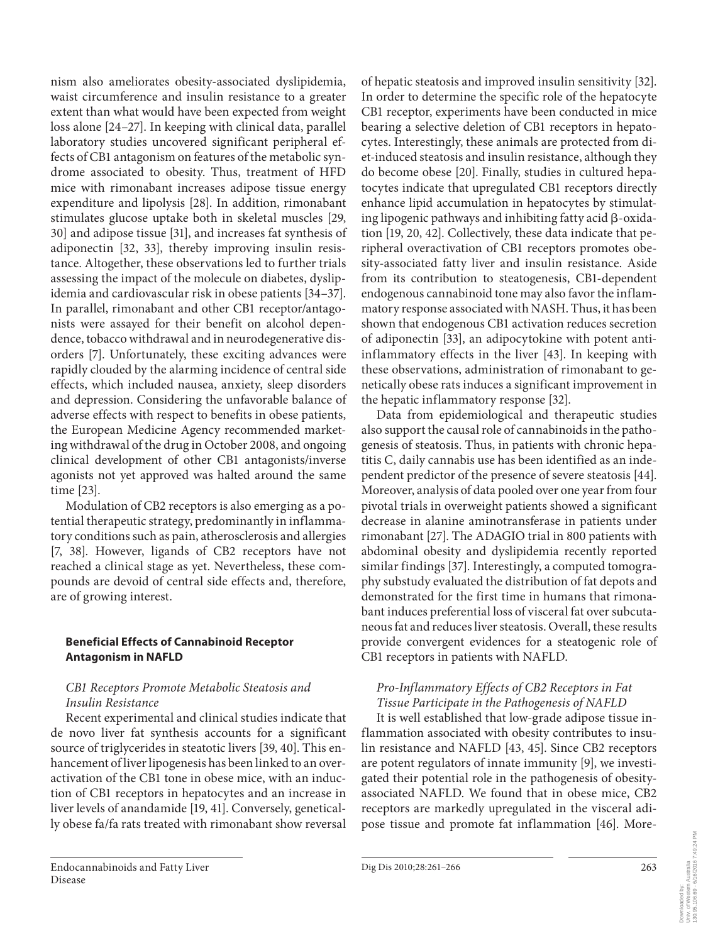nism also ameliorates obesity-associated dyslipidemia, waist circumference and insulin resistance to a greater extent than what would have been expected from weight loss alone [24-27]. In keeping with clinical data, parallel laboratory studies uncovered significant peripheral effects of CB1 antagonism on features of the metabolic syndrome associated to obesity. Thus, treatment of HFD mice with rimonabant increases adipose tissue energy expenditure and lipolysis [28]. In addition, rimonabant stimulates glucose uptake both in skeletal muscles [29, 30] and adipose tissue [31] , and increases fat synthesis of adiponectin [32, 33], thereby improving insulin resistance. Altogether, these observations led to further trials assessing the impact of the molecule on diabetes, dyslipidemia and cardiovascular risk in obese patients [34–37] . In parallel, rimonabant and other CB1 receptor/antagonists were assayed for their benefit on alcohol dependence, tobacco withdrawal and in neurodegenerative disorders [7]. Unfortunately, these exciting advances were rapidly clouded by the alarming incidence of central side effects, which included nausea, anxiety, sleep disorders and depression. Considering the unfavorable balance of adverse effects with respect to benefits in obese patients, the European Medicine Agency recommended marketing withdrawal of the drug in October 2008, and ongoing clinical development of other CB1 antagonists/inverse agonists not yet approved was halted around the same time [23].

 Modulation of CB2 receptors is also emerging as a potential therapeutic strategy, predominantly in inflammatory conditions such as pain, atherosclerosis and allergies [7, 38]. However, ligands of CB2 receptors have not reached a clinical stage as yet. Nevertheless, these compounds are devoid of central side effects and, therefore, are of growing interest.

## **Beneficial Effects of Cannabinoid Receptor Antagonism in NAFLD**

## *CB1 Receptors Promote Metabolic Steatosis and Insulin Resistance*

 Recent experimental and clinical studies indicate that de novo liver fat synthesis accounts for a significant source of triglycerides in steatotic livers [39, 40]. This enhancement of liver lipogenesis has been linked to an overactivation of the CB1 tone in obese mice, with an induction of CB1 receptors in hepatocytes and an increase in liver levels of anandamide [19, 41] . Conversely, genetically obese fa/fa rats treated with rimonabant show reversal

of hepatic steatosis and improved insulin sensitivity [32] . In order to determine the specific role of the hepatocyte CB1 receptor, experiments have been conducted in mice bearing a selective deletion of CB1 receptors in hepatocytes. Interestingly, these animals are protected from diet-induced steatosis and insulin resistance, although they do become obese [20]. Finally, studies in cultured hepatocytes indicate that upregulated CB1 receptors directly enhance lipid accumulation in hepatocytes by stimulating lipogenic pathways and inhibiting fatty acid  $\beta$ -oxidation [19, 20, 42] . Collectively, these data indicate that peripheral overactivation of CB1 receptors promotes obesity-associated fatty liver and insulin resistance. Aside from its contribution to steatogenesis, CB1-dependent endogenous cannabinoid tone may also favor the inflammatory response associated with NASH. Thus, it has been shown that endogenous CB1 activation reduces secretion of adiponectin [33], an adipocytokine with potent antiinflammatory effects in the liver [43]. In keeping with these observations, administration of rimonabant to genetically obese rats induces a significant improvement in the hepatic inflammatory response [32] .

 Data from epidemiological and therapeutic studies also support the causal role of cannabinoids in the pathogenesis of steatosis. Thus, in patients with chronic hepatitis C, daily cannabis use has been identified as an independent predictor of the presence of severe steatosis [44] . Moreover, analysis of data pooled over one year from four pivotal trials in overweight patients showed a significant decrease in alanine aminotransferase in patients under rimonabant [27]. The ADAGIO trial in 800 patients with abdominal obesity and dyslipidemia recently reported similar findings [37]. Interestingly, a computed tomography substudy evaluated the distribution of fat depots and demonstrated for the first time in humans that rimonabant induces preferential loss of visceral fat over subcutaneous fat and reduces liver steatosis. Overall, these results provide convergent evidences for a steatogenic role of CB1 receptors in patients with NAFLD.

# *Pro-Inflammatory Effects of CB2 Receptors in Fat Tissue Participate in the Pathogenesis of NAFLD*

 It is well established that low-grade adipose tissue inflammation associated with obesity contributes to insulin resistance and NAFLD [43, 45]. Since CB2 receptors are potent regulators of innate immunity [9], we investigated their potential role in the pathogenesis of obesityassociated NAFLD. We found that in obese mice, CB2 receptors are markedly upregulated in the visceral adipose tissue and promote fat inflammation [46]. More-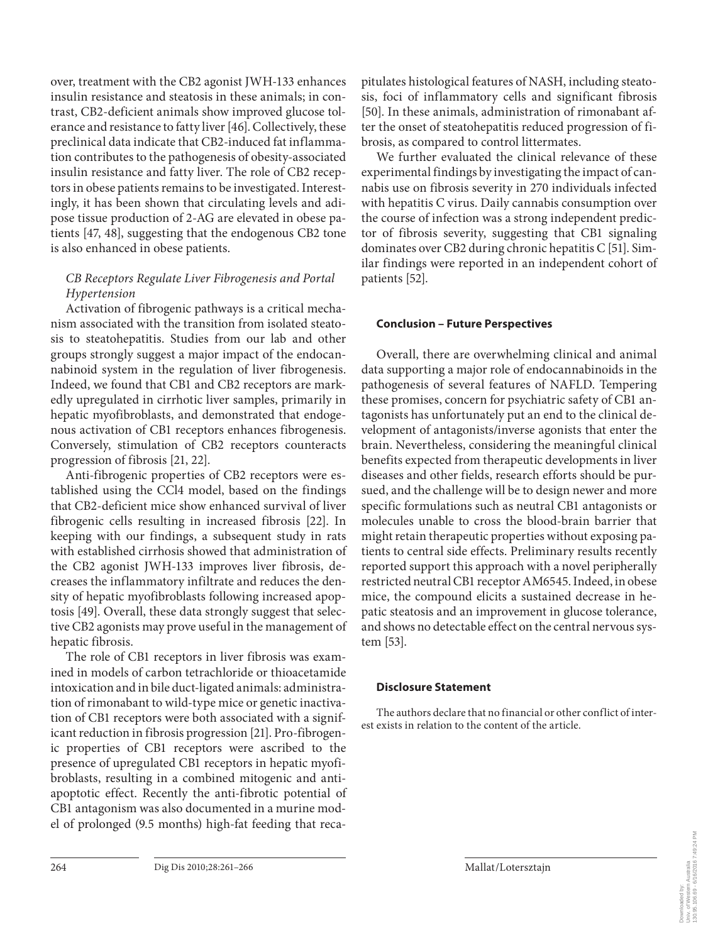over, treatment with the CB2 agonist JWH-133 enhances insulin resistance and steatosis in these animals; in contrast, CB2-deficient animals show improved glucose tolerance and resistance to fatty liver [46] . Collectively, these preclinical data indicate that CB2-induced fat inflammation contributes to the pathogenesis of obesity-associated insulin resistance and fatty liver. The role of CB2 receptors in obese patients remains to be investigated. Interestingly, it has been shown that circulating levels and adipose tissue production of 2-AG are elevated in obese patients [47, 48], suggesting that the endogenous CB2 tone is also enhanced in obese patients.

# *CB Receptors Regulate Liver Fibrogenesis and Portal Hypertension*

 Activation of fibrogenic pathways is a critical mechanism associated with the transition from isolated steatosis to steatohepatitis. Studies from our lab and other groups strongly suggest a major impact of the endocannabinoid system in the regulation of liver fibrogenesis. Indeed, we found that CB1 and CB2 receptors are markedly upregulated in cirrhotic liver samples, primarily in hepatic myofibroblasts, and demonstrated that endogenous activation of CB1 receptors enhances fibrogenesis. Conversely, stimulation of CB2 receptors counteracts progression of fibrosis [21, 22] .

 Anti-fibrogenic properties of CB2 receptors were established using the CCl4 model, based on the findings that CB2-deficient mice show enhanced survival of liver fibrogenic cells resulting in increased fibrosis [22]. In keeping with our findings, a subsequent study in rats with established cirrhosis showed that administration of the CB2 agonist JWH-133 improves liver fibrosis, decreases the inflammatory infiltrate and reduces the density of hepatic myofibroblasts following increased apoptosis [49]. Overall, these data strongly suggest that selective CB2 agonists may prove useful in the management of hepatic fibrosis.

 The role of CB1 receptors in liver fibrosis was examined in models of carbon tetrachloride or thioacetamide intoxication and in bile duct-ligated animals: administration of rimonabant to wild-type mice or genetic inactivation of CB1 receptors were both associated with a significant reduction in fibrosis progression [21] . Pro-fibrogenic properties of CB1 receptors were ascribed to the presence of upregulated CB1 receptors in hepatic myofibroblasts, resulting in a combined mitogenic and antiapoptotic effect. Recently the anti-fibrotic potential of CB1 antagonism was also documented in a murine model of prolonged (9.5 months) high-fat feeding that recapitulates histological features of NASH, including steatosis, foci of inflammatory cells and significant fibrosis [50]. In these animals, administration of rimonabant after the onset of steatohepatitis reduced progression of fibrosis, as compared to control littermates.

 We further evaluated the clinical relevance of these experimental findings by investigating the impact of cannabis use on fibrosis severity in 270 individuals infected with hepatitis C virus. Daily cannabis consumption over the course of infection was a strong independent predictor of fibrosis severity, suggesting that CB1 signaling dominates over CB2 during chronic hepatitis C [51]. Similar findings were reported in an independent cohort of patients [52].

#### **Conclusion – Future Perspectives**

 Overall, there are overwhelming clinical and animal data supporting a major role of endocannabinoids in the pathogenesis of several features of NAFLD. Tempering these promises, concern for psychiatric safety of CB1 antagonists has unfortunately put an end to the clinical development of antagonists/inverse agonists that enter the brain. Nevertheless, considering the meaningful clinical benefits expected from therapeutic developments in liver diseases and other fields, research efforts should be pursued, and the challenge will be to design newer and more specific formulations such as neutral CB1 antagonists or molecules unable to cross the blood-brain barrier that might retain therapeutic properties without exposing patients to central side effects. Preliminary results recently reported support this approach with a novel peripherally restricted neutral CB1 receptor AM6545. Indeed, in obese mice, the compound elicits a sustained decrease in hepatic steatosis and an improvement in glucose tolerance, and shows no detectable effect on the central nervous system [53].

#### **Disclosure Statement**

The authors declare that no financial or other conflict of interest exists in relation to the content of the article.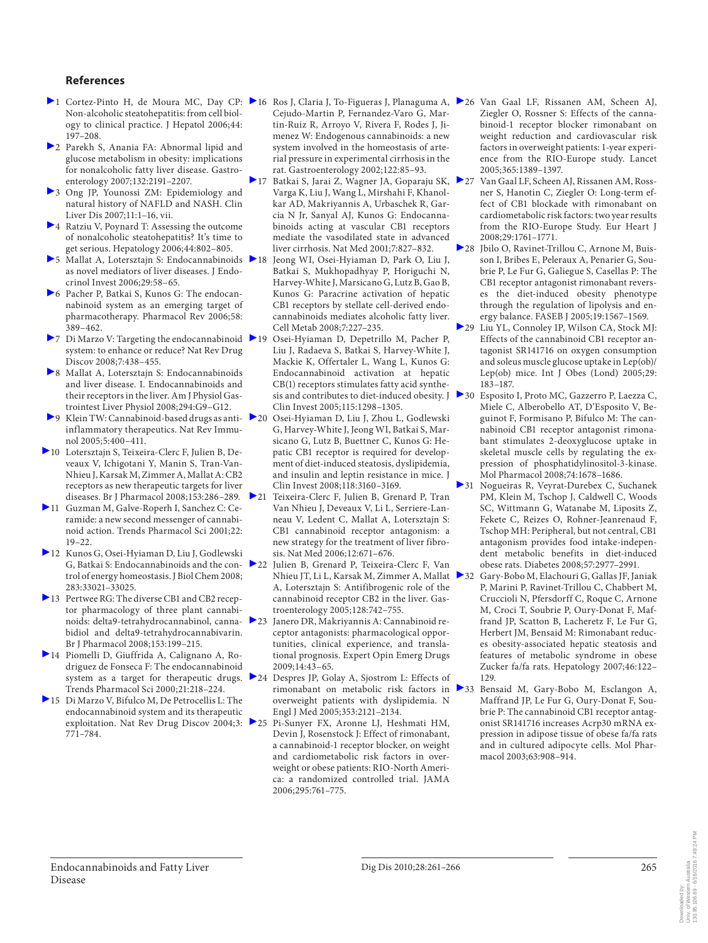#### **References**

- Non-alcoholic steatohepatitis: from cell biology to clinical practice. J Hepatol 2006;44: 197–208.
- 2 Parekh S, Anania FA: Abnormal lipid and glucose metabolism in obesity: implications for nonalcoholic fatty liver disease. Gastroenterology 2007;132:2191–2207.
- 3 Ong JP, Younossi ZM: Epidemiology and natural history of NAFLD and NASH. Clin Liver Dis 2007;11:1–16, vii.
- 4 Ratziu V, Poynard T: Assessing the outcome of nonalcoholic steatohepatitis? It's time to get serious. Hepatology 2006;44:802–805.
- >5 Mallat A, Lotersztajn S: Endocannabinoids > 18 as novel mediators of liver diseases. J Endocrinol Invest 2006;29:58–65.
- 6 Pacher P, Batkai S, Kunos G: The endocannabinoid system as an emerging target of pharmacotherapy. Pharmacol Rev 2006;58: 389–462.
- ▶ 7 Di Marzo V: Targeting the endocannabinoid ▶ 19 system: to enhance or reduce? Nat Rev Drug Discov 2008;7:438–455.
- 8 Mallat A, Lotersztajn S: Endocannabinoids and liver disease. I. Endocannabinoids and their receptors in the liver. Am J Physiol Gastrointest Liver Physiol 2008;294:G9–G12.
- $\triangleright$  9 Klein TW: Cannabinoid-based drugs as anti- $\triangleright$  20 inflammatory therapeutics. Nat Rev Immunol 2005;5:400–411.
- 10 Lotersztajn S, Teixeira-Clerc F, Julien B, Deveaux V, Ichigotani Y, Manin S, Tran-Van-Nhieu J, Karsak M, Zimmer A, Mallat A: CB2 receptors as new therapeutic targets for liver diseases. Br J Pharmacol 2008;153:286–289.
- 11 Guzman M, Galve-Roperh I, Sanchez C: Ceramide: a new second messenger of cannabinoid action. Trends Pharmacol Sci 2001;22: 19–22.
- 12 Kunos G, Osei-Hyiaman D, Liu J, Godlewski G, Batkai S: Endocannabinoids and the control of energy homeostasis. J Biol Chem 2008; 283:33021–33025.
- 13 Pertwee RG: The diverse CB1 and CB2 receptor pharmacology of three plant cannabinoids: delta9-tetrahydrocannabinol, cannabidiol and delta9-tetrahydrocannabivarin. Br J Pharmacol 2008;153:199–215.
- 14 Piomelli D, Giuffrida A, Calignano A, Rodriguez de Fonseca F: The endocannabinoid system as a target for therapeutic drugs. Trends Pharmacol Sci 2000;21:218–224.
- 15 Di Marzo V, Bifulco M, De Petrocellis L: The endocannabinoid system and its therapeutic exploitation. Nat Rev Drug Discov 2004;3: 25 771–784.
- 1 Cortez-Pinto H, de Moura MC, Day CP: 16 Ros J, Claria J, To-Figueras J, Planaguma A, 26 Van Gaal LF, Rissanen AM, Scheen AJ, Cejudo-Martin P, Fernandez-Varo G, Martin-Ruiz R, Arroyo V, Rivera F, Rodes J, Jimenez W: Endogenous cannabinoids: a new system involved in the homeostasis of arterial pressure in experimental cirrhosis in the rat. Gastroenterology 2002;122:85–93.
	- 17 Batkai S, Jarai Z, Wagner JA, Goparaju SK, 27 Varga K, Liu J, Wang L, Mirshahi F, Khanolkar AD, Makriyannis A, Urbaschek R, Garcia N Jr, Sanyal AJ, Kunos G: Endocannabinoids acting at vascular CB1 receptors mediate the vasodilated state in advanced liver cirrhosis. Nat Med 2001;7:827–832.
	- Jeong WI, Osei-Hyiaman D, Park O, Liu J, Batkai S, Mukhopadhyay P, Horiguchi N, Harvey-White J, Marsicano G, Lutz B, Gao B, Kunos G: Paracrine activation of hepatic CB1 receptors by stellate cell-derived endocannabinoids mediates alcoholic fatty liver. Cell Metab 2008;7:227–235.
	- 19 Osei-Hyiaman D, Depetrillo M, Pacher P, Liu J, Radaeva S, Batkai S, Harvey-White J, Mackie K, Offertaler L, Wang L, Kunos G: Endocannabinoid activation at hepatic CB(1) receptors stimulates fatty acid synthesis and contributes to diet-induced obesity. J > 30 Clin Invest 2005;115:1298–1305.
	- 20 Osei-Hyiaman D, Liu J, Zhou L, Godlewski G, Harvey-White J, Jeong WI, Batkai S, Marsicano G, Lutz B, Buettner C, Kunos G: Hepatic CB1 receptor is required for development of diet-induced steatosis, dyslipidemia, and insulin and leptin resistance in mice. J Clin Invest 2008;118:3160–3169.
	- 21 Teixeira-Clerc F, Julien B, Grenard P, Tran Van Nhieu J, Deveaux V, Li L, Serriere-Lanneau V, Ledent C, Mallat A, Lotersztajn S: CB1 cannabinoid receptor antagonism: a new strategy for the treatment of liver fibrosis. Nat Med 2006;12:671–676.
	- 22 Julien B, Grenard P, Teixeira-Clerc F, Van Nhieu JT, Li L, Karsak M, Zimmer A, Mallat ▶ 32 A, Lotersztajn S: Antifibrogenic role of the cannabinoid receptor CB2 in the liver. Gastroenterology 2005;128:742–755.
	- Janero DR, Makriyannis A: Cannabinoid receptor antagonists: pharmacological opportunities, clinical experience, and translational prognosis. Expert Opin Emerg Drugs 2009;14:43–65.
	- 24 Despres JP, Golay A, Sjostrom L: Effects of overweight patients with dyslipidemia. N Engl J Med 2005;353:2121–2134.
	- 25 Pi-Sunyer FX, Aronne LJ, Heshmati HM, Devin J, Rosenstock J: Effect of rimonabant, a cannabinoid-1 receptor blocker, on weight and cardiometabolic risk factors in overweight or obese patients: RIO-North America: a randomized controlled trial. JAMA 2006;295:761–775.
- Ziegler O, Rossner S: Effects of the cannabinoid-1 receptor blocker rimonabant on weight reduction and cardiovascular risk factors in overweight patients: 1-year experience from the RIO-Europe study. Lancet 2005;365:1389–1397.
- Van Gaal LF, Scheen AJ, Rissanen AM, Rossner S, Hanotin C, Ziegler O: Long-term effect of CB1 blockade with rimonabant on cardiometabolic risk factors: two year results from the RIO-Europe Study. Eur Heart J 2008;29:1761–1771.
- 28 Jbilo O, Ravinet-Trillou C, Arnone M, Buisson I, Bribes E, Peleraux A, Penarier G, Soubrie P, Le Fur G, Galiegue S, Casellas P: The CB1 receptor antagonist rimonabant reverses the diet-induced obesity phenotype through the regulation of lipolysis and energy balance. FASEB J 2005;19:1567–1569.
- 29 Liu YL, Connoley IP, Wilson CA, Stock MJ: Effects of the cannabinoid CB1 receptor antagonist SR141716 on oxygen consumption and soleus muscle glucose uptake in Lep(ob)/ Lep(ob) mice. Int J Obes (Lond) 2005;29: 183–187.
- Esposito I, Proto MC, Gazzerro P, Laezza C, Miele C, Alberobello AT, D'Esposito V, Beguinot F, Formisano P, Bifulco M: The cannabinoid CB1 receptor antagonist rimonabant stimulates 2-deoxyglucose uptake in skeletal muscle cells by regulating the expression of phosphatidylinositol-3-kinase. Mol Pharmacol 2008;74:1678–1686.
- 31 Nogueiras R, Veyrat-Durebex C, Suchanek PM, Klein M, Tschop J, Caldwell C, Woods SC, Wittmann G, Watanabe M, Liposits Z, Fekete C, Reizes O, Rohner-Jeanrenaud F, Tschop MH: Peripheral, but not central, CB1 antagonism provides food intake-independent metabolic benefits in diet-induced obese rats. Diabetes 2008;57:2977–2991.
	- 32 Gary-Bobo M, Elachouri G, Gallas JF, Janiak P, Marini P, Ravinet-Trillou C, Chabbert M, Cruccioli N, Pfersdorff C, Roque C, Arnone M, Croci T, Soubrie P, Oury-Donat F, Maffrand JP, Scatton B, Lacheretz F, Le Fur G, Herbert JM, Bensaid M: Rimonabant reduces obesity-associated hepatic steatosis and features of metabolic syndrome in obese Zucker fa/fa rats. Hepatology 2007;46:122– 129.
- rimonabant on metabolic risk factors in 33 Bensaid M, Gary-Bobo M, Esclangon A, Maffrand JP, Le Fur G, Oury-Donat F, Soubrie P: The cannabinoid CB1 receptor antagonist SR141716 increases Acrp30 mRNA expression in adipose tissue of obese fa/fa rats and in cultured adipocyte cells. Mol Pharmacol 2003;63:908–914.